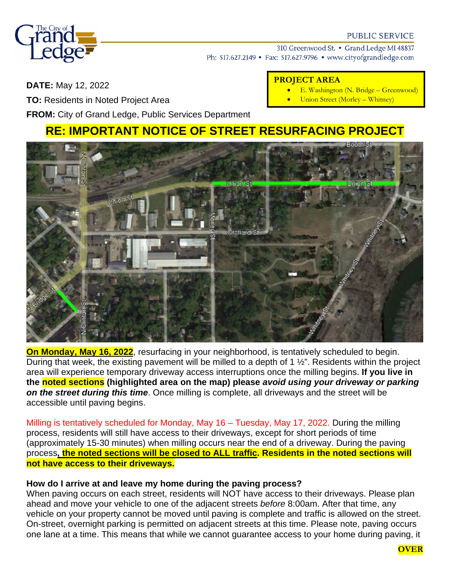

#### **PUBLIC SERVICE**

310 Greenwood St. • Grand Ledge MI 48837 Ph: 517.627.2149 • Fax: 517.627.9796 • www.cityofgrandledge.com

**DATE:** May 12, 2022

**TO:** Residents in Noted Project Area

## **PROJECT AREA**

- E. Washington (N. Bridge Greenwood)
- Union Street (Morley Whitney)

**FROM:** City of Grand Ledge, Public Services Department

# **RE: IMPORTANT NOTICE OF STREET RESURFACING PROJECT**



**On Monday, May 16, 2022**, resurfacing in your neighborhood, is tentatively scheduled to begin. During that week, the existing pavement will be milled to a depth of 1 ½". Residents within the project area will experience temporary driveway access interruptions once the milling begins. **If you live in the noted sections (highlighted area on the map) please** *avoid using your driveway or parking on the street during this time*. Once milling is complete, all driveways and the street will be accessible until paving begins.

Milling is tentatively scheduled for Monday, May 16 – Tuesday, May 17, 2022. During the milling process, residents will still have access to their driveways, except for short periods of time (approximately 15-30 minutes) when milling occurs near the end of a driveway. During the paving process**, the noted sections will be closed to ALL traffic. Residents in the noted sections will not have access to their driveways.** 

## **How do I arrive at and leave my home during the paving process?**

When paving occurs on each street, residents will NOT have access to their driveways. Please plan ahead and move your vehicle to one of the adjacent streets *before* 8:00am. After that time, any vehicle on your property cannot be moved until paving is complete and traffic is allowed on the street. On-street, overnight parking is permitted on adjacent streets at this time. Please note, paving occurs one lane at a time. This means that while we cannot guarantee access to your home during paving, it